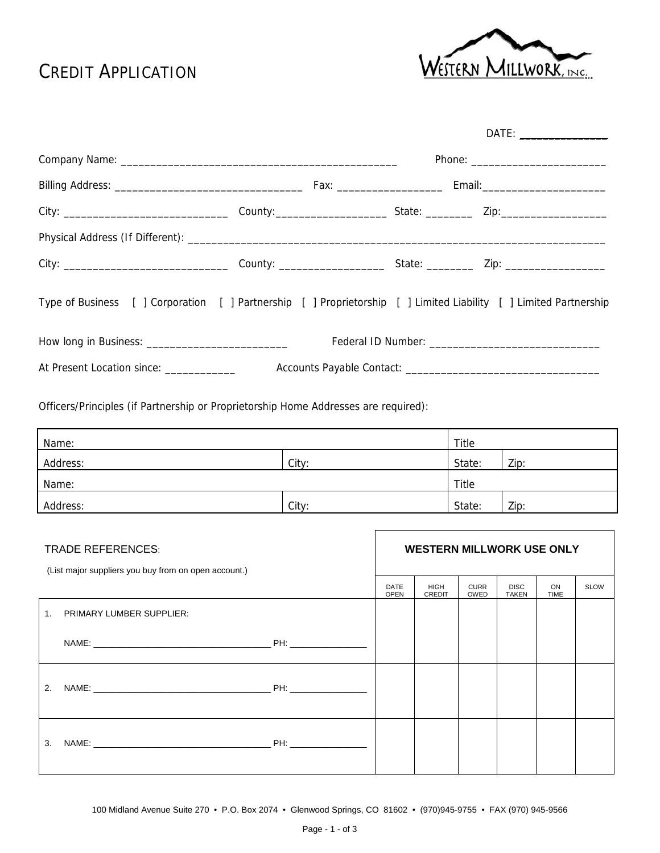# CREDIT APPLICATION



| Type of Business [ ] Corporation [ ] Partnership [ ] Proprietorship [ ] Limited Liability [ ] Limited Partnership |  |  |  |  |  |
|-------------------------------------------------------------------------------------------------------------------|--|--|--|--|--|
|                                                                                                                   |  |  |  |  |  |
| At Present Location since: _______________                                                                        |  |  |  |  |  |

Officers/Principles (if Partnership or Proprietorship Home Addresses are required):

| Name:    |       | Title        |      |  |
|----------|-------|--------------|------|--|
| Address: | City: | State:       | Zip: |  |
| Name:    |       | <b>Title</b> |      |  |
| Address: | City: | State:       | Zip: |  |

| <b>TRADE REFERENCES:</b><br>(List major suppliers you buy from on open account.) |  | <b>WESTERN MILLWORK USE ONLY</b> |                     |                             |                   |             |  |
|----------------------------------------------------------------------------------|--|----------------------------------|---------------------|-----------------------------|-------------------|-------------|--|
|                                                                                  |  | <b>HIGH</b><br><b>CREDIT</b>     | <b>CURR</b><br>OWED | <b>DISC</b><br><b>TAKEN</b> | ON<br><b>TIME</b> | <b>SLOW</b> |  |
| <b>PRIMARY LUMBER SUPPLIER:</b><br>$\mathbf{1}$ .                                |  |                                  |                     |                             |                   |             |  |
|                                                                                  |  |                                  |                     |                             |                   |             |  |
| 2.                                                                               |  |                                  |                     |                             |                   |             |  |
| 3.                                                                               |  |                                  |                     |                             |                   |             |  |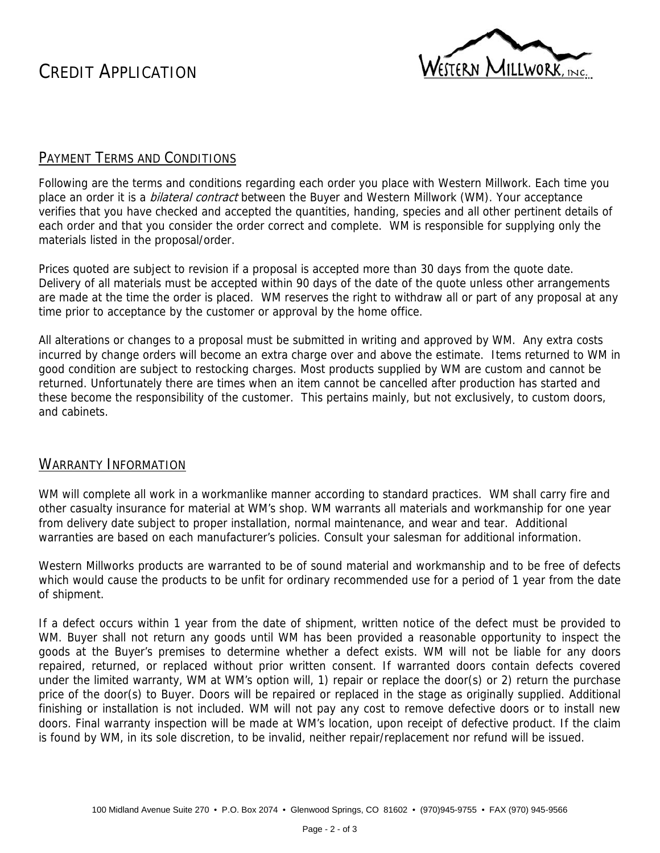CREDIT APPLICATION



### PAYMENT TERMS AND CONDITIONS

Following are the terms and conditions regarding each order you place with Western Millwork. Each time you place an order it is a *bilateral contract* between the Buyer and Western Millwork (WM). Your acceptance verifies that you have checked and accepted the quantities, handing, species and all other pertinent details of each order and that you consider the order correct and complete. WM is responsible for supplying only the materials listed in the proposal/order.

Prices quoted are subject to revision if a proposal is accepted more than 30 days from the quote date. Delivery of all materials must be accepted within 90 days of the date of the quote unless other arrangements are made at the time the order is placed. WM reserves the right to withdraw all or part of any proposal at any time prior to acceptance by the customer or approval by the home office.

All alterations or changes to a proposal must be submitted in writing and approved by WM. Any extra costs incurred by change orders will become an extra charge over and above the estimate. Items returned to WM in good condition are subject to restocking charges. Most products supplied by WM are custom and cannot be returned. Unfortunately there are times when an item cannot be cancelled after production has started and these become the responsibility of the customer. This pertains mainly, but not exclusively, to custom doors, and cabinets.

### WARRANTY INFORMATION

WM will complete all work in a workmanlike manner according to standard practices. WM shall carry fire and other casualty insurance for material at WM's shop. WM warrants all materials and workmanship for one year from delivery date subject to proper installation, normal maintenance, and wear and tear. Additional warranties are based on each manufacturer's policies. Consult your salesman for additional information.

Western Millworks products are warranted to be of sound material and workmanship and to be free of defects which would cause the products to be unfit for ordinary recommended use for a period of 1 year from the date of shipment.

If a defect occurs within 1 year from the date of shipment, written notice of the defect must be provided to WM. Buyer shall not return any goods until WM has been provided a reasonable opportunity to inspect the goods at the Buyer's premises to determine whether a defect exists. WM will not be liable for any doors repaired, returned, or replaced without prior written consent. If warranted doors contain defects covered under the limited warranty, WM at WM's option will, 1) repair or replace the door(s) or 2) return the purchase price of the door(s) to Buyer. Doors will be repaired or replaced in the stage as originally supplied. Additional finishing or installation is not included. WM will not pay any cost to remove defective doors or to install new doors. Final warranty inspection will be made at WM's location, upon receipt of defective product. If the claim is found by WM, in its sole discretion, to be invalid, neither repair/replacement nor refund will be issued.